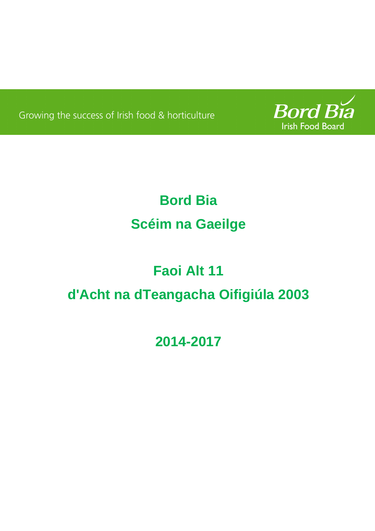Growing the success of Irish food & horticulture



# **Bord Bia Scéim na Gaeilge**

# **Faoi Alt 11 d'Acht na dTeangacha Oifigiúla 2003**

## **2014-2017**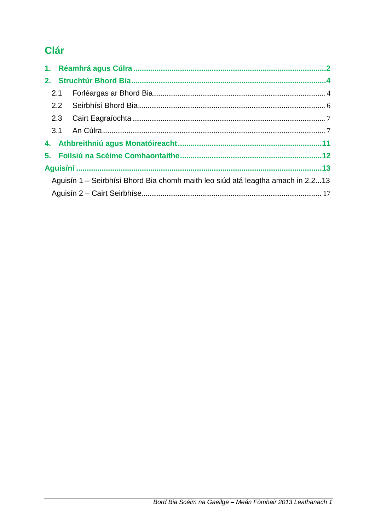## Clár

| Aguisín 1 – Seirbhísí Bhord Bia chomh maith leo siúd atá leagtha amach in 2.213 |  |  |
|---------------------------------------------------------------------------------|--|--|
|                                                                                 |  |  |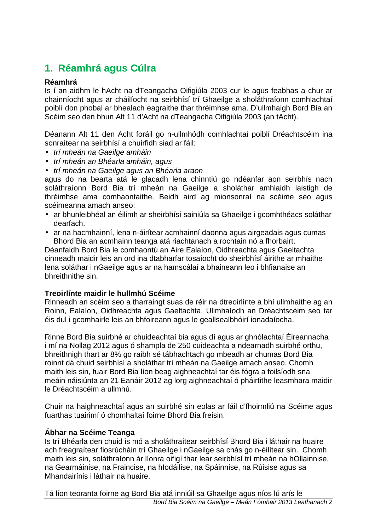## **1. Réamhrá agus Cúlra**

#### **Réamhrá**

Is í an aidhm le hAcht na dTeangacha Oifigiúla 2003 cur le agus feabhas a chur ar chainníocht agus ar cháilíocht na seirbhísí trí Ghaeilge a sholáthraíonn comhlachtaí poiblí don phobal ar bhealach eagraithe thar thréimhse ama. D'ullmhaigh Bord Bia an Scéim seo den bhun Alt 11 d'Acht na dTeangacha Oifigiúla 2003 (an tAcht).

Déanann Alt 11 den Acht foráil go n-ullmhódh comhlachtaí poiblí Dréachtscéim ina sonraítear na seirbhísí a chuirfidh siad ar fáil:

- trí mheán na Gaeilge amháin
- trí mheán an Bhéarla amháin, agus
- trí mheán na Gaeilge agus an Bhéarla araon

agus do na bearta atá le glacadh lena chinntiú go ndéanfar aon seirbhís nach soláthraíonn Bord Bia trí mheán na Gaeilge a sholáthar amhlaidh laistigh de thréimhse ama comhaontaithe. Beidh aird ag mionsonraí na scéime seo agus scéimeanna amach anseo:

- ar bhunleibhéal an éilimh ar sheirbhísí sainiúla sa Ghaeilge i gcomhthéacs soláthar dearfach.
- ar na hacmhainní, lena n-áirítear acmhainní daonna agus airgeadais agus cumas Bhord Bia an acmhainn teanga atá riachtanach a rochtain nó a fhorbairt.

Déanfaidh Bord Bia le comhaontú an Aire Ealaíon, Oidhreachta agus Gaeltachta cinneadh maidir leis an ord ina dtabharfar tosaíocht do sheirbhísí áirithe ar mhaithe lena soláthar i nGaeilge agus ar na hamscálaí a bhaineann leo i bhfianaise an bhreithnithe sin.

#### **Treoirlínte maidir le hullmhú Scéime**

Rinneadh an scéim seo a tharraingt suas de réir na dtreoirlínte a bhí ullmhaithe ag an Roinn, Ealaíon, Oidhreachta agus Gaeltachta. Ullmhaíodh an Dréachtscéim seo tar éis dul i gcomhairle leis an bhfoireann agus le geallsealbhóirí ionadaíocha.

Rinne Bord Bia suirbhé ar chuideachtaí bia agus dí agus ar ghnólachtaí Éireannacha i mí na Nollag 2012 agus ó shampla de 250 cuideachta a ndearnadh suirbhé orthu, bhreithnigh thart ar 8% go raibh sé tábhachtach go mbeadh ar chumas Bord Bia roinnt dá chuid seirbhísí a sholáthar trí mheán na Gaeilge amach anseo. Chomh maith leis sin, fuair Bord Bia líon beag aighneachtaí tar éis fógra a foilsíodh sna meáin náisiúnta an 21 Eanáir 2012 ag lorg aighneachtaí ó pháirtithe leasmhara maidir le Dréachtscéim a ullmhú.

Chuir na haighneachtaí agus an suirbhé sin eolas ar fáil d'fhoirmliú na Scéime agus fuarthas tuairimí ó chomhaltaí foirne Bhord Bia freisin.

#### **Ábhar na Scéime Teanga**

Is trí Bhéarla den chuid is mó a sholáthraítear seirbhísí Bhord Bia i láthair na huaire ach freagraítear fiosrúcháin trí Ghaeilge i nGaeilge sa chás go n-éilítear sin. Chomh maith leis sin, soláthraíonn ár líonra oifigí thar lear seirbhísí trí mheán na hOllainnise, na Gearmáinise, na Fraincise, na hIodáilise, na Spáinnise, na Rúisise agus sa Mhandairínis i láthair na huaire.

Bord Bia Scéim na Gaeilge – Meán Fómhair 2013 Leathanach 2 Tá líon teoranta foirne ag Bord Bia atá inniúil sa Ghaeilge agus níos lú arís le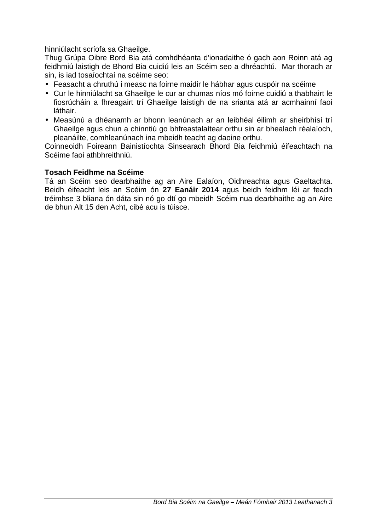hinniúlacht scríofa sa Ghaeilge.

Thug Grúpa Oibre Bord Bia atá comhdhéanta d'ionadaithe ó gach aon Roinn atá ag feidhmiú laistigh de Bhord Bia cuidiú leis an Scéim seo a dhréachtú. Mar thoradh ar sin, is iad tosaíochtaí na scéime seo:

- Feasacht a chruthú i measc na foirne maidir le hábhar agus cuspóir na scéime
- Cur le hinniúlacht sa Ghaeilge le cur ar chumas níos mó foirne cuidiú a thabhairt le fiosrúcháin a fhreagairt trí Ghaeilge laistigh de na srianta atá ar acmhainní faoi láthair.
- Measúnú a dhéanamh ar bhonn leanúnach ar an leibhéal éilimh ar sheirbhísí trí Ghaeilge agus chun a chinntiú go bhfreastalaítear orthu sin ar bhealach réalaíoch, pleanáilte, comhleanúnach ina mbeidh teacht ag daoine orthu.

Coinneoidh Foireann Bainistíochta Sinsearach Bhord Bia feidhmiú éifeachtach na Scéime faoi athbhreithniú.

#### **Tosach Feidhme na Scéime**

Tá an Scéim seo dearbhaithe ag an Aire Ealaíon, Oidhreachta agus Gaeltachta. Beidh éifeacht leis an Scéim ón **27 Eanáir 2014** agus beidh feidhm léi ar feadh tréimhse 3 bliana ón dáta sin nó go dtí go mbeidh Scéim nua dearbhaithe ag an Aire de bhun Alt 15 den Acht, cibé acu is túisce.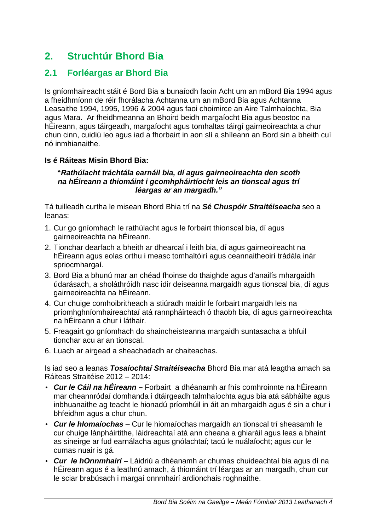## **2. Struchtúr Bhord Bia**

### **2.1 Forléargas ar Bhord Bia**

Is gníomhaireacht stáit é Bord Bia a bunaíodh faoin Acht um an mBord Bia 1994 agus a fheidhmíonn de réir fhorálacha Achtanna um an mBord Bia agus Achtanna Leasaithe 1994, 1995, 1996 & 2004 agus faoi choimirce an Aire Talmhaíochta, Bia agus Mara. Ar fheidhmeanna an Bhoird beidh margaíocht Bia agus beostoc na hÉireann, agus táirgeadh, margaíocht agus tomhaltas táirgí gairneoireachta a chur chun cinn, cuidiú leo agus iad a fhorbairt in aon slí a shíleann an Bord sin a bheith cuí nó inmhianaithe.

#### **Is é Ráiteas Misin Bhord Bia:**

#### **"Rathúlacht tráchtála earnáil bia, dí agus gairneoireachta den scoth na hÉireann a thiomáint i gcomhpháirtíocht leis an tionscal agus trí léargas ar an margadh."**

Tá tuilleadh curtha le misean Bhord Bhia trí na **Sé Chuspóir Straitéiseacha** seo a leanas:

- 1. Cur go gníomhach le rathúlacht agus le forbairt thionscal bia, dí agus gairneoireachta na hÉireann.
- 2. Tionchar dearfach a bheith ar dhearcaí i leith bia, dí agus gairneoireacht na hÉireann agus eolas orthu i measc tomhaltóirí agus ceannaitheoirí trádála inár spriocmhargaí.
- 3. Bord Bia a bhunú mar an chéad fhoinse do thaighde agus d'anailís mhargaidh údarásach, a sholáthróidh nasc idir deiseanna margaidh agus tionscal bia, dí agus gairneoireachta na hÉireann.
- 4. Cur chuige comhoibritheach a stiúradh maidir le forbairt margaidh leis na príomhghníomhaireachtaí atá rannpháirteach ó thaobh bia, dí agus gairneoireachta na hÉireann a chur i láthair.
- 5. Freagairt go gníomhach do shaincheisteanna margaidh suntasacha a bhfuil tionchar acu ar an tionscal.
- 6. Luach ar airgead a sheachadadh ar chaiteachas.

Is iad seo a leanas **Tosaíochtaí Straitéiseacha** Bhord Bia mar atá leagtha amach sa Ráiteas Straitéise 2012 – 2014:

- **Cur le Cáil na hÉireann** Forbairt a dhéanamh ar fhís comhroinnte na hÉireann mar cheannródaí domhanda i dtáirgeadh talmhaíochta agus bia atá sábháilte agus inbhuanaithe ag teacht le hionadú príomhúil in áit an mhargaidh agus é sin a chur i bhfeidhm agus a chur chun.
- **Cur le hIomaíochas** Cur le hiomaíochas margaidh an tionscal trí sheasamh le cur chuige lánpháirtithe, láidreachtaí atá ann cheana a ghiaráil agus leas a bhaint as sineirge ar fud earnálacha agus gnólachtaí; tacú le nuálaíocht; agus cur le cumas nuair is gá.
- **Cur le hOnnmhairí**  Láidriú a dhéanamh ar chumas chuideachtaí bia agus dí na hÉireann agus é a leathnú amach, á thiomáint trí léargas ar an margadh, chun cur le sciar brabúsach i margaí onnmhairí ardionchais roghnaithe.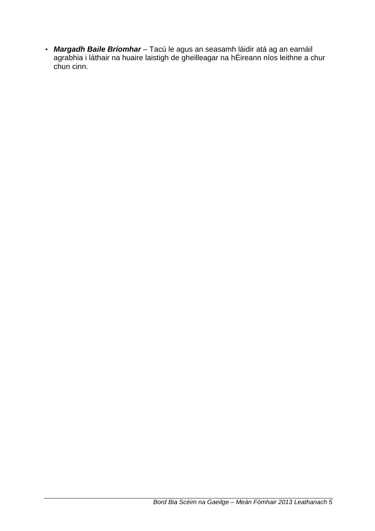• **Margadh Baile Bríomhar** – Tacú le agus an seasamh láidir atá ag an earnáil agrabhia i láthair na huaire laistigh de gheilleagar na hÉireann níos leithne a chur chun cinn.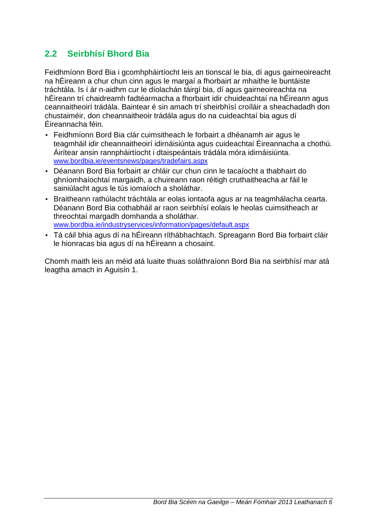## **2.2 Seirbhísí Bhord Bia**

Feidhmíonn Bord Bia i gcomhpháirtíocht leis an tionscal le bia, dí agus gairneoireacht na hÉireann a chur chun cinn agus le margaí a fhorbairt ar mhaithe le buntáiste tráchtála. Is í ár n-aidhm cur le díolachán táirgí bia, dí agus gairneoireachta na hÉireann trí chaidreamh fadtéarmacha a fhorbairt idir chuideachtaí na hÉireann agus ceannaitheoirí trádála. Baintear é sin amach trí sheirbhísí croíláir a sheachadadh don chustaiméir, don cheannaitheoir trádála agus do na cuideachtaí bia agus dí Éireannacha féin.

- Feidhmíonn Bord Bia clár cuimsitheach le forbairt a dhéanamh air agus le teagmháil idir cheannaitheoirí idirnáisiúnta agus cuideachtaí Éireannacha a chothú. Áirítear ansin rannpháirtíocht i dtaispeántais trádála móra idirnáisiúnta. www.bordbia.ie/eventsnews/pages/tradefairs.aspx
- Déanann Bord Bia forbairt ar chláir cur chun cinn le tacaíocht a thabhairt do ghníomhaíochtaí margaidh, a chuireann raon réitigh cruthaitheacha ar fáil le sainiúlacht agus le tús iomaíoch a sholáthar.
- Braitheann rathúlacht tráchtála ar eolas iontaofa agus ar na teagmhálacha cearta. Déanann Bord Bia cothabháil ar raon seirbhísí eolais le heolas cuimsitheach ar threochtaí margadh domhanda a sholáthar. www.bordbia.ie/industryservices/information/pages/default.aspx
- Tá cáil bhia agus dí na hÉireann ríthábhachtach. Spreagann Bord Bia forbairt cláir le hionracas bia agus dí na hÉireann a chosaint.

Chomh maith leis an méid atá luaite thuas soláthraíonn Bord Bia na seirbhísí mar atá leagtha amach in Aguisín 1.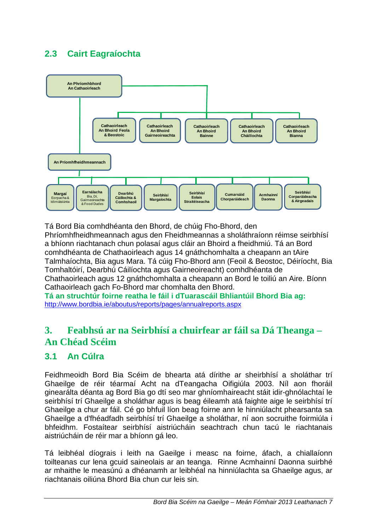## **2.3 Cairt Eagraíochta**



Tá Bord Bia comhdhéanta den Bhord, de chúig Fho-Bhord, den Phríomhfheidhmeannach agus den Fheidhmeannas a sholáthraíonn réimse seirbhísí a bhíonn riachtanach chun polasaí agus cláir an Bhoird a fheidhmiú. Tá an Bord comhdhéanta de Chathaoirleach agus 14 gnáthchomhalta a cheapann an tAire Talmhaíochta, Bia agus Mara. Tá cúig Fho-Bhord ann (Feoil & Beostoc, Déiríocht, Bia Tomhaltóirí, Dearbhú Cáilíochta agus Gairneoireacht) comhdhéanta de Chathaoirleach agus 12 gnáthchomhalta a cheapann an Bord le toiliú an Aire. Bíonn Cathaoirleach gach Fo-Bhord mar chomhalta den Bhord.

**Tá an struchtúr foirne reatha le fáil i dTuarascáil Bhliantúil Bhord Bia ag:**  http://www.bordbia.ie/aboutus/reports/pages/annualreports.aspx

## **3. Feabhsú ar na Seirbhísí a chuirfear ar fáil sa Dá Theanga – An Chéad Scéim**

#### **3.1 An Cúlra**

Feidhmeoidh Bord Bia Scéim de bhearta atá dírithe ar sheirbhísí a sholáthar trí Ghaeilge de réir téarmaí Acht na dTeangacha Oifigiúla 2003. Níl aon fhoráil ginearálta déanta ag Bord Bia go dtí seo mar ghníomhaireacht stáit idir-ghnólachtaí le seirbhísí trí Ghaeilge a sholáthar agus is beag éileamh atá faighte aige le seirbhísí trí Ghaeilge a chur ar fáil. Cé go bhfuil líon beag foirne ann le hinniúlacht phearsanta sa Ghaeilge a d'fhéadfadh seirbhísí trí Ghaeilge a sholáthar, ní aon socruithe foirmiúla i bhfeidhm. Fostaítear seirbhísí aistriúcháin seachtrach chun tacú le riachtanais aistriúcháin de réir mar a bhíonn gá leo.

Tá leibhéal díograis i leith na Gaeilge i measc na foirne, áfach, a chiallaíonn toilteanas cur lena gcuid saineolais ar an teanga. Rinne Acmhainní Daonna suirbhé ar mhaithe le measúnú a dhéanamh ar leibhéal na hinniúlachta sa Ghaeilge agus, ar riachtanais oiliúna Bhord Bia chun cur leis sin.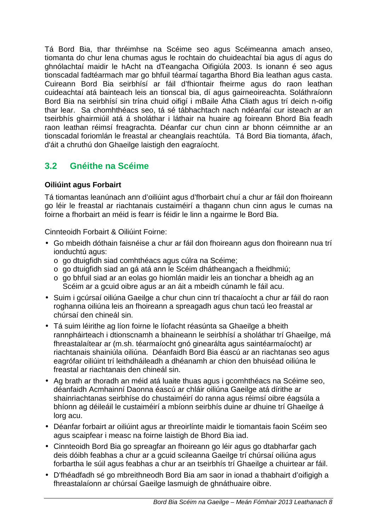Tá Bord Bia, thar thréimhse na Scéime seo agus Scéimeanna amach anseo, tiomanta do chur lena chumas agus le rochtain do chuideachtaí bia agus dí agus do ghnólachtaí maidir le hAcht na dTeangacha Oifigiúla 2003. Is ionann é seo agus tionscadal fadtéarmach mar go bhfuil téarmaí tagartha Bhord Bia leathan agus casta. Cuireann Bord Bia seirbhísí ar fáil d'fhiontair fheirme agus do raon leathan cuideachtaí atá bainteach leis an tionscal bia, dí agus gairneoireachta. Soláthraíonn Bord Bia na seirbhísí sin trína chuid oifigí i mBaile Átha Cliath agus trí deich n-oifig thar lear. Sa chomhthéacs seo, tá sé tábhachtach nach ndéanfaí cur isteach ar an tseirbhís ghairmiúil atá á sholáthar i láthair na huaire ag foireann Bhord Bia feadh raon leathan réimsí freagrachta. Déanfar cur chun cinn ar bhonn céimnithe ar an tionscadal foriomlán le freastal ar cheanglais reachtúla. Tá Bord Bia tiomanta, áfach, d'áit a chruthú don Ghaeilge laistigh den eagraíocht.

## **3.2 Gnéithe na Scéime**

#### **Oiliúint agus Forbairt**

Tá tiomantas leanúnach ann d'oiliúint agus d'fhorbairt chuí a chur ar fáil don fhoireann go léir le freastal ar riachtanais custaiméirí a thagann chun cinn agus le cumas na foirne a fhorbairt an méid is fearr is féidir le linn a ngairme le Bord Bia.

Cinnteoidh Forbairt & Oiliúint Foirne:

- Go mbeidh dóthain faisnéise a chur ar fáil don fhoireann agus don fhoireann nua trí ionduchtú agus:
	- o go dtuigfidh siad comhthéacs agus cúlra na Scéime;
	- o go dtuigfidh siad an gá atá ann le Scéim dhátheangach a fheidhmiú;
	- o go bhfuil siad ar an eolas go hiomlán maidir leis an tionchar a bheidh ag an Scéim ar a gcuid oibre agus ar an áit a mbeidh cúnamh le fáil acu.
- Suim i gcúrsaí oiliúna Gaeilge a chur chun cinn trí thacaíocht a chur ar fáil do raon roghanna oiliúna leis an fhoireann a spreagadh agus chun tacú leo freastal ar chúrsaí den chineál sin.
- Tá suim léirithe ag líon foirne le líofacht réasúnta sa Ghaeilge a bheith rannpháirteach i dtionscnamh a bhaineann le seirbhísí a sholáthar trí Ghaeilge, má fhreastalaítear ar (m.sh. téarmaíocht gnó ginearálta agus saintéarmaíocht) ar riachtanais shainiúla oiliúna. Déanfaidh Bord Bia éascú ar an riachtanas seo agus eagrófar oiliúint trí leithdháileadh a dhéanamh ar chion den bhuiséad oiliúna le freastal ar riachtanais den chineál sin.
- Ag brath ar thoradh an méid atá luaite thuas agus i gcomhthéacs na Scéime seo, déanfaidh Acmhainní Daonna éascú ar chláir oiliúna Gaeilge atá dírithe ar shainriachtanas seirbhíse do chustaiméirí do ranna agus réimsí oibre éagsúla a bhíonn ag déileáil le custaiméirí a mbíonn seirbhís duine ar dhuine trí Ghaeilge á lorg acu.
- Déanfar forbairt ar oiliúint agus ar threoirlínte maidir le tiomantais faoin Scéim seo agus scaipfear i measc na foirne laistigh de Bhord Bia iad.
- Cinnteoidh Bord Bia go spreagfar an fhoireann go léir agus go dtabharfar gach deis dóibh feabhas a chur ar a gcuid scileanna Gaeilge trí chúrsaí oiliúna agus forbartha le súil agus feabhas a chur ar an tseirbhís trí Ghaeilge a chuirtear ar fáil.
- D'fhéadfadh sé go mbreithneodh Bord Bia am saor in ionad a thabhairt d'oifigigh a fhreastalaíonn ar chúrsaí Gaeilge lasmuigh de ghnáthuaire oibre.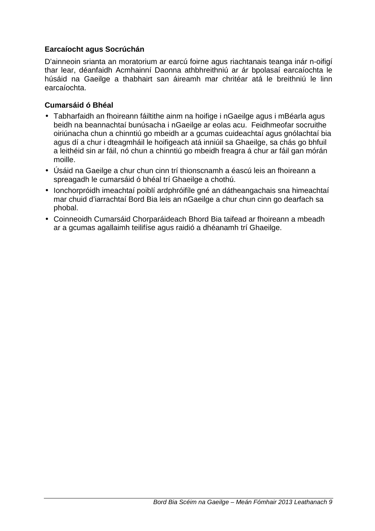#### **Earcaíocht agus Socrúchán**

D'ainneoin srianta an moratorium ar earcú foirne agus riachtanais teanga inár n-oifigí thar lear, déanfaidh Acmhainní Daonna athbhreithniú ar ár bpolasaí earcaíochta le húsáid na Gaeilge a thabhairt san áireamh mar chritéar atá le breithniú le linn earcaíochta.

#### **Cumarsáid ó Bhéal**

- Tabharfaidh an fhoireann fáiltithe ainm na hoifige i nGaeilge agus i mBéarla agus beidh na beannachtaí bunúsacha i nGaeilge ar eolas acu. Feidhmeofar socruithe oiriúnacha chun a chinntiú go mbeidh ar a gcumas cuideachtaí agus gnólachtaí bia agus dí a chur i dteagmháil le hoifigeach atá inniúil sa Ghaeilge, sa chás go bhfuil a leithéid sin ar fáil, nó chun a chinntiú go mbeidh freagra á chur ar fáil gan mórán moille.
- Úsáid na Gaeilge a chur chun cinn trí thionscnamh a éascú leis an fhoireann a spreagadh le cumarsáid ó bhéal trí Ghaeilge a chothú.
- Ionchorpróidh imeachtaí poiblí ardphróifíle gné an dátheangachais sna himeachtaí mar chuid d'iarrachtaí Bord Bia leis an nGaeilge a chur chun cinn go dearfach sa phobal.
- Coinneoidh Cumarsáid Chorparáideach Bhord Bia taifead ar fhoireann a mbeadh ar a gcumas agallaimh teilifíse agus raidió a dhéanamh trí Ghaeilge.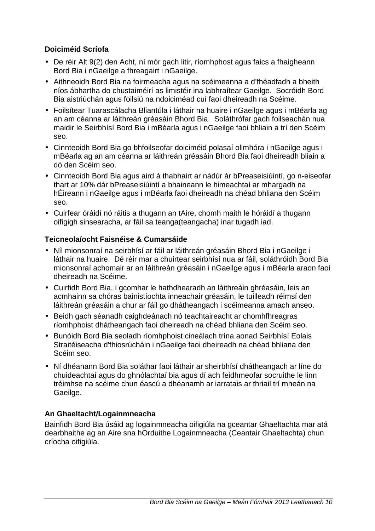#### **Doiciméid Scríofa**

- De réir Alt 9(2) den Acht, ní mór gach litir, ríomhphost agus faics a fhaigheann Bord Bia i nGaeilge a fhreagairt i nGaeilge.
- Aithneoidh Bord Bia na foirmeacha agus na scéimeanna a d'fhéadfadh a bheith níos ábhartha do chustaiméirí as limistéir ina labhraítear Gaeilge. Socróidh Bord Bia aistriúchán agus foilsiú na ndoiciméad cuí faoi dheireadh na Scéime.
- Foilsítear Tuarascálacha Bliantúla i láthair na huaire i nGaeilge agus i mBéarla ag an am céanna ar láithreán gréasáin Bhord Bia. Soláthrófar gach foilseachán nua maidir le Seirbhísí Bord Bia i mBéarla agus i nGaeilge faoi bhliain a trí den Scéim seo.
- Cinnteoidh Bord Bia go bhfoilseofar doiciméid polasaí ollmhóra i nGaeilge agus i mBéarla ag an am céanna ar láithreán gréasáin Bhord Bia faoi dheireadh bliain a dó den Scéim seo.
- Cinnteoidh Bord Bia agus aird á thabhairt ar nádúr ár bPreaseisiúintí, go n-eiseofar thart ar 10% dár bPreaseisiúintí a bhaineann le himeachtaí ar mhargadh na hÉireann i nGaeilge agus i mBéarla faoi dheireadh na chéad bhliana den Scéim seo.
- Cuirfear óráidí nó ráitis a thugann an tAire, chomh maith le hóráidí a thugann oifigigh sinsearacha, ar fáil sa teanga(teangacha) inar tugadh iad.

#### **Teicneolaíocht Faisnéise & Cumarsáide**

- Níl mionsonraí na seirbhísí ar fáil ar láithreán gréasáin Bhord Bia i nGaeilge i láthair na huaire. Dé réir mar a chuirtear seirbhísí nua ar fáil, soláthróidh Bord Bia mionsonraí achomair ar an láithreán gréasáin i nGaeilge agus i mBéarla araon faoi dheireadh na Scéime.
- Cuirfidh Bord Bia, i gcomhar le hathdhearadh an láithreáin ghréasáin, leis an acmhainn sa chóras bainistíochta inneachair gréasáin, le tuilleadh réimsí den láithreán gréasáin a chur ar fáil go dhátheangach i scéimeanna amach anseo.
- Beidh gach séanadh caighdeánach nó teachtaireacht ar chomhfhreagras ríomhphoist dhátheangach faoi dheireadh na chéad bhliana den Scéim seo.
- Bunóidh Bord Bia seoladh ríomhphoist cineálach trína aonad Seirbhísí Eolais Straitéiseacha d'fhiosrúcháin i nGaeilge faoi dheireadh na chéad bhliana den Scéim seo.
- Ní dhéanann Bord Bia soláthar faoi láthair ar sheirbhísí dhátheangach ar líne do chuideachtaí agus do ghnólachtaí bia agus dí ach feidhmeofar socruithe le linn tréimhse na scéime chun éascú a dhéanamh ar iarratais ar thriail trí mheán na Gaeilge.

#### **An Ghaeltacht/Logainmneacha**

Bainfidh Bord Bia úsáid ag logainmneacha oifigiúla na gceantar Ghaeltachta mar atá dearbhaithe ag an Aire sna hOrduithe Logainmneacha (Ceantair Ghaeltachta) chun críocha oifigiúla.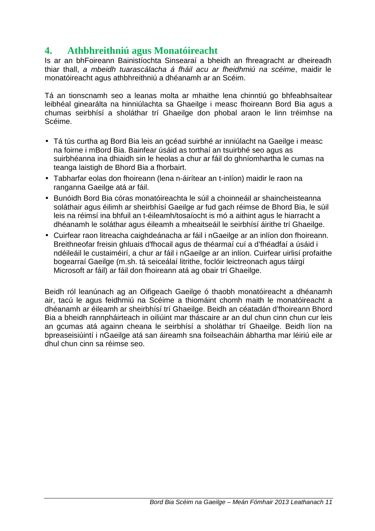## **4. Athbhreithniú agus Monatóireacht**

Is ar an bhFoireann Bainistíochta Sinsearaí a bheidh an fhreagracht ar dheireadh thiar thall, a mbeidh tuarascálacha á fháil acu ar fheidhmiú na scéime, maidir le monatóireacht agus athbhreithniú a dhéanamh ar an Scéim.

Tá an tionscnamh seo a leanas molta ar mhaithe lena chinntiú go bhfeabhsaítear leibhéal ginearálta na hinniúlachta sa Ghaeilge i measc fhoireann Bord Bia agus a chumas seirbhísí a sholáthar trí Ghaeilge don phobal araon le linn tréimhse na Scéime.

- Tá tús curtha ag Bord Bia leis an gcéad suirbhé ar inniúlacht na Gaeilge i measc na foirne i mBord Bia. Bainfear úsáid as torthaí an tsuirbhé seo agus as suirbhéanna ina dhiaidh sin le heolas a chur ar fáil do ghníomhartha le cumas na teanga laistigh de Bhord Bia a fhorbairt.
- Tabharfar eolas don fhoireann (lena n-áirítear an t-inlíon) maidir le raon na ranganna Gaeilge atá ar fáil.
- Bunóidh Bord Bia córas monatóireachta le súil a choinneáil ar shaincheisteanna soláthair agus éilimh ar sheirbhísí Gaeilge ar fud gach réimse de Bhord Bia, le súil leis na réimsí ina bhfuil an t-éileamh/tosaíocht is mó a aithint agus le hiarracht a dhéanamh le soláthar agus éileamh a mheaitseáil le seirbhísí áirithe trí Ghaeilge.
- Cuirfear raon litreacha caighdeánacha ar fáil i nGaeilge ar an inlíon don fhoireann. Breithneofar freisin ghluais d'fhocail agus de théarmaí cuí a d'fhéadfaí a úsáid i ndéileáil le custaiméirí, a chur ar fáil i nGaeilge ar an inlíon. Cuirfear uirlisí profaithe bogearraí Gaeilge (m.sh. tá seiceálaí litrithe, foclóir leictreonach agus táirgí Microsoft ar fáil) ar fáil don fhoireann atá ag obair trí Ghaeilge.

Beidh ról leanúnach ag an Oifigeach Gaeilge ó thaobh monatóireacht a dhéanamh air, tacú le agus feidhmiú na Scéime a thiomáint chomh maith le monatóireacht a dhéanamh ar éileamh ar sheirbhísí trí Ghaeilge. Beidh an céatadán d'fhoireann Bhord Bia a bheidh rannpháirteach in oiliúint mar tháscaire ar an dul chun cinn chun cur leis an gcumas atá againn cheana le seirbhísí a sholáthar trí Ghaeilge. Beidh líon na bpreaseisiúintí i nGaeilge atá san áireamh sna foilseacháin ábhartha mar léiriú eile ar dhul chun cinn sa réimse seo.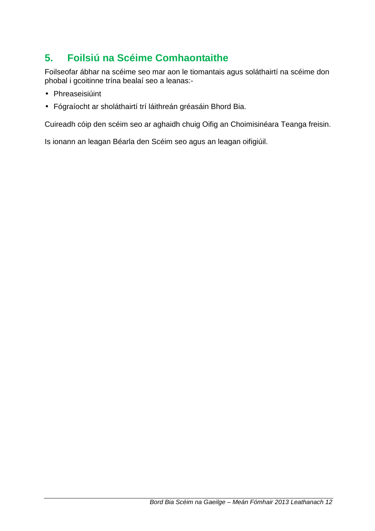## **5. Foilsiú na Scéime Comhaontaithe**

Foilseofar ábhar na scéime seo mar aon le tiomantais agus soláthairtí na scéime don phobal i gcoitinne trína bealaí seo a leanas:-

- Phreaseisiúint
- Fógraíocht ar sholáthairtí trí láithreán gréasáin Bhord Bia.

Cuireadh cóip den scéim seo ar aghaidh chuig Oifig an Choimisinéara Teanga freisin.

Is ionann an leagan Béarla den Scéim seo agus an leagan oifigiúil.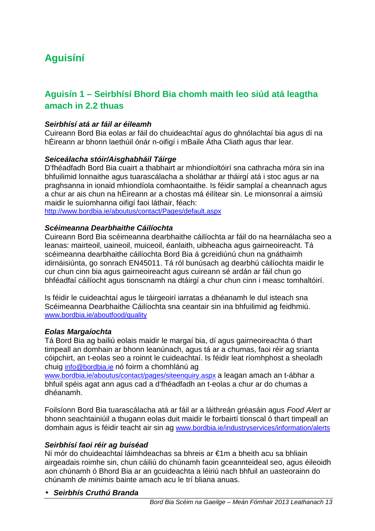## **Aguisíní**

## **Aguisín 1 – Seirbhísí Bhord Bia chomh maith leo siúd atá leagtha amach in 2.2 thuas**

#### **Seirbhísí atá ar fáil ar éileamh**

Cuireann Bord Bia eolas ar fáil do chuideachtaí agus do ghnólachtaí bia agus dí na hÉireann ar bhonn laethúil ónár n-oifigí i mBaile Átha Cliath agus thar lear.

#### **Seiceálacha stóir/Aisghabháil Táirge**

D'fhéadfadh Bord Bia cuairt a thabhairt ar mhiondíoltóirí sna cathracha móra sin ina bhfuilimid lonnaithe agus tuarascálacha a sholáthar ar tháirgí atá i stoc agus ar na praghsanna in ionaid mhiondíola comhaontaithe. Is féidir samplaí a cheannach agus a chur ar ais chun na hÉireann ar a chostas má éilítear sin. Le mionsonraí a aimsiú maidir le suíomhanna oifigí faoi láthair, féach:

http://www.bordbia.ie/aboutus/contact/Pages/default.aspx

#### **Scéimeanna Dearbhaithe Cáilíochta**

Cuireann Bord Bia scéimeanna dearbhaithe cáilíochta ar fáil do na hearnálacha seo a leanas: mairteoil, uaineoil, muiceoil, éanlaith, uibheacha agus gairneoireacht. Tá scéimeanna dearbhaithe cáilíochta Bord Bia á gcreidiúnú chun na gnáthaimh idirnáisiúnta, go sonrach EN45011. Tá ról bunúsach ag dearbhú cáilíochta maidir le cur chun cinn bia agus gairneoireacht agus cuireann sé ardán ar fáil chun go bhféadfaí cáilíocht agus tionscnamh na dtáirgí a chur chun cinn i measc tomhaltóirí.

Is féidir le cuideachtaí agus le táirgeoirí iarratas a dhéanamh le dul isteach sna Scéimeanna Dearbhaithe Cáilíochta sna ceantair sin ina bhfuilimid ag feidhmiú. www.bordbia.ie/aboutfood/quality

#### **Eolas Margaíochta**

Tá Bord Bia ag bailiú eolais maidir le margaí bia, dí agus gairneoireachta ó thart timpeall an domhain ar bhonn leanúnach, agus tá ar a chumas, faoi réir ag srianta cóipchirt, an t-eolas seo a roinnt le cuideachtaí. Is féidir leat ríomhphost a sheoladh chuig info@bordbia.ie nó foirm a chomhlánú ag

www.bordbia.ie/aboutus/contact/pages/siteenquiry.aspx a leagan amach an t-ábhar a bhfuil spéis agat ann agus cad a d'fhéadfadh an t-eolas a chur ar do chumas a dhéanamh.

Foilsíonn Bord Bia tuarascálacha atá ar fáil ar a láithreán gréasáin agus Food Alert ar bhonn seachtainiúil a thugann eolas duit maidir le forbairtí tionscal ó thart timpeall an domhain agus is féidir teacht air sin ag www.bordbia.ie/industryservices/information/alerts

#### **Seirbhísí faoi réir ag buiséad**

Ní mór do chuideachtaí láimhdeachas sa bhreis ar €1m a bheith acu sa bhliain airgeadais roimhe sin, chun cáiliú do chúnamh faoin gceannteideal seo, agus éileoidh aon chúnamh ó Bhord Bia ar an gcuideachta a léiriú nach bhfuil an uasteorainn do chúnamh de minimis bainte amach acu le trí bliana anuas.

#### • **Seirbhís Cruthú Branda**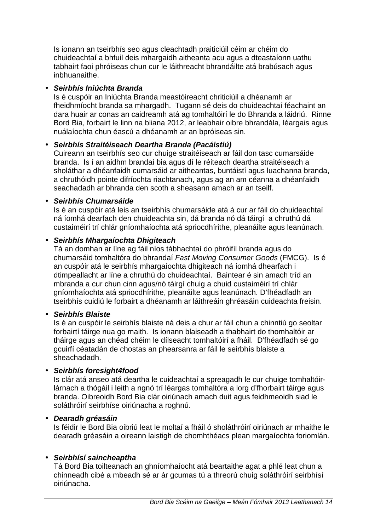Is ionann an tseirbhís seo agus cleachtadh praiticiúil céim ar chéim do chuideachtaí a bhfuil deis mhargaidh aitheanta acu agus a dteastaíonn uathu tabhairt faoi phróiseas chun cur le láithreacht bhrandáilte atá brabúsach agus inbhuanaithe.

#### • **Seirbhís Iniúchta Branda**

Is é cuspóir an Iniúchta Branda meastóireacht chriticiúil a dhéanamh ar fheidhmíocht branda sa mhargadh. Tugann sé deis do chuideachtaí féachaint an dara huair ar conas an caidreamh atá ag tomhaltóirí le do Bhranda a láidriú. Rinne Bord Bia, forbairt le linn na bliana 2012, ar leabhair oibre bhrandála, léargais agus nuálaíochta chun éascú a dhéanamh ar an bpróiseas sin.

#### • **Seirbhís Straitéiseach Deartha Branda (Pacáistiú)**

Cuireann an tseirbhís seo cur chuige straitéiseach ar fáil don tasc cumarsáide branda. Is í an aidhm brandaí bia agus dí le réiteach deartha straitéiseach a sholáthar a dhéanfaidh cumarsáid ar aitheantas, buntáistí agus luachanna branda, a chruthóidh pointe difríochta riachtanach, agus ag an am céanna a dhéanfaidh seachadadh ar bhranda den scoth a sheasann amach ar an tseilf.

#### • **Seirbhís Chumarsáide**

Is é an cuspóir atá leis an tseirbhís chumarsáide atá á cur ar fáil do chuideachtaí ná íomhá dearfach den chuideachta sin, dá branda nó dá táirgí a chruthú dá custaiméirí trí chlár gníomhaíochta atá spriocdhírithe, pleanáilte agus leanúnach.

#### • **Seirbhís Mhargaíochta Dhigiteach**

Tá an domhan ar líne ag fáil níos tábhachtaí do phróifíl branda agus do chumarsáid tomhaltóra do bhrandaí Fast Moving Consumer Goods (FMCG). Is é an cuspóir atá le seirbhís mhargaíochta dhigiteach ná íomhá dhearfach i dtimpeallacht ar líne a chruthú do chuideachtaí. Baintear é sin amach tríd an mbranda a cur chun cinn agus/nó táirgí chuig a chuid custaiméirí trí chlár gníomhaíochta atá spriocdhírithe, pleanáilte agus leanúnach. D'fhéadfadh an tseirbhís cuidiú le forbairt a dhéanamh ar láithreáin ghréasáin cuideachta freisin.

#### • **Seirbhís Blaiste**

Is é an cuspóir le seirbhís blaiste ná deis a chur ar fáil chun a chinntiú go seoltar forbairtí táirge nua go maith. Is ionann blaiseadh a thabhairt do thomhaltóir ar tháirge agus an chéad chéim le dílseacht tomhaltóirí a fháil. D'fhéadfadh sé go gcuirfí céatadán de chostas an phearsanra ar fáil le seirbhís blaiste a sheachadadh.

#### • **Seirbhís foresight4food**

Is clár atá anseo atá deartha le cuideachtaí a spreagadh le cur chuige tomhaltóirlárnach a thógáil i leith a ngnó trí léargas tomhaltóra a lorg d'fhorbairt táirge agus branda. Oibreoidh Bord Bia clár oiriúnach amach duit agus feidhmeoidh siad le soláthróirí seirbhíse oiriúnacha a roghnú.

#### • **Dearadh gréasáin**

Is féidir le Bord Bia oibriú leat le moltaí a fháil ó sholáthróirí oiriúnach ar mhaithe le dearadh gréasáin a oireann laistigh de chomhthéacs plean margaíochta foriomlán.

#### • **Seirbhísí saincheaptha**

Tá Bord Bia toilteanach an ghníomhaíocht atá beartaithe agat a phlé leat chun a chinneadh cibé a mbeadh sé ar ár gcumas tú a threorú chuig soláthróirí seirbhísí oiriúnacha.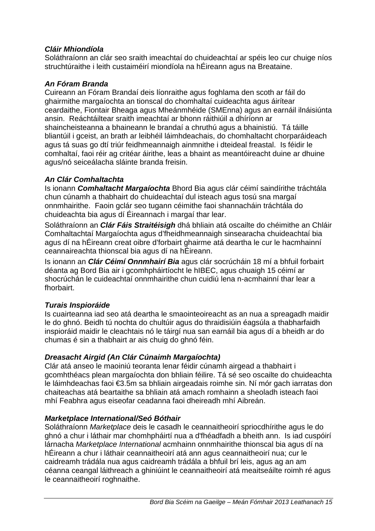#### **Cláir Mhiondíola**

Soláthraíonn an clár seo sraith imeachtaí do chuideachtaí ar spéis leo cur chuige níos struchtúraithe i leith custaiméirí miondíola na hÉireann agus na Breataine.

#### **An Fóram Branda**

Cuireann an Fóram Brandaí deis líonraithe agus foghlama den scoth ar fáil do ghairmithe margaíochta an tionscal do chomhaltaí cuideachta agus áirítear ceardaithe, Fiontair Bheaga agus Mheánmhéide (SMEnna) agus an earnáil ilnáisiúnta ansin. Reáchtáiltear sraith imeachtaí ar bhonn ráithiúil a dhíríonn ar shaincheisteanna a bhaineann le brandaí a chruthú agus a bhainistiú. Tá táille bliantúil i gceist, an brath ar leibhéil láimhdeachais, do chomhaltacht chorparáideach agus tá suas go dtí triúr feidhmeannaigh ainmnithe i dteideal freastal. Is féidir le comhaltaí, faoi réir ag critéar áirithe, leas a bhaint as meantóireacht duine ar dhuine agus/nó seiceálacha sláinte branda freisin.

#### **An Clár Comhaltachta**

Is ionann **Comhaltacht Margaíochta** Bhord Bia agus clár céimí saindírithe tráchtála chun cúnamh a thabhairt do chuideachtaí dul isteach agus tosú sna margaí onnmhairithe. Faoin gclár seo tugann céimithe faoi shannacháin tráchtála do chuideachta bia agus dí Éireannach i margaí thar lear.

Soláthraíonn an **Clár Fáis Straitéisigh** dhá bhliain atá oscailte do chéimithe an Chláir Comhaltachtaí Margaíochta agus d'fheidhmeannaigh sinsearacha chuideachtaí bia agus dí na hÉireann creat oibre d'forbairt ghairme atá deartha le cur le hacmhainní ceannaireachta thionscal bia agus dí na hÉireann.

Is ionann an **Clár Céimí Onnmhairí Bia** agus clár socrúcháin 18 mí a bhfuil forbairt déanta ag Bord Bia air i gcomhpháirtíocht le hIBEC, agus chuaigh 15 céimí ar shocrúchán le cuideachtaí onnmhairithe chun cuidiú lena n-acmhainní thar lear a fhorbairt.

#### **Turais Inspioráide**

Is cuairteanna iad seo atá deartha le smaointeoireacht as an nua a spreagadh maidir le do ghnó. Beidh tú nochta do chultúir agus do thraidisiúin éagsúla a thabharfaidh inspioráid maidir le cleachtais nó le táirgí nua san earnáil bia agus dí a bheidh ar do chumas é sin a thabhairt ar ais chuig do ghnó féin.

#### **Dreasacht Airgid (An Clár Cúnaimh Margaíochta)**

Clár atá anseo le maoiniú teoranta lenar féidir cúnamh airgead a thabhairt i gcomhthéacs plean margaíochta don bhliain féilire. Tá sé seo oscailte do chuideachta le láimhdeachas faoi €3.5m sa bhliain airgeadais roimhe sin. Ní mór gach iarratas don chaiteachas atá beartaithe sa bhliain atá amach romhainn a sheoladh isteach faoi mhí Feabhra agus eiseofar ceadanna faoi dheireadh mhí Aibreán.

#### **Marketplace International/Seó Bóthair**

Soláthraíonn Marketplace deis le casadh le ceannaitheoirí spriocdhírithe agus le do ghnó a chur i láthair mar chomhpháirtí nua a d'fhéadfadh a bheith ann. Is iad cuspóirí lárnacha Marketplace International acmhainn onnmhairithe thionscal bia agus dí na hÉireann a chur i láthair ceannaitheoirí atá ann agus ceannaitheoirí nua; cur le caidreamh trádála nua agus caidreamh trádála a bhfuil brí leis, agus ag an am céanna ceangal láithreach a ghiniúint le ceannaitheoirí atá meaitseáilte roimh ré agus le ceannaitheoirí roghnaithe.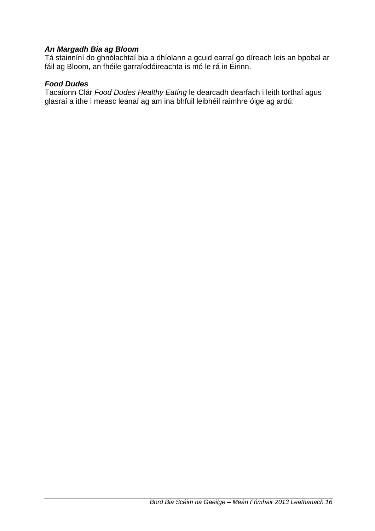#### **An Margadh Bia ag Bloom**

Tá stainníní do ghnólachtaí bia a dhíolann a gcuid earraí go díreach leis an bpobal ar fáil ag Bloom, an fhéile garraíodóireachta is mó le rá in Éirinn.

#### **Food Dudes**

Tacaíonn Clár Food Dudes Healthy Eating le dearcadh dearfach i leith torthaí agus glasraí a ithe i measc leanaí ag am ina bhfuil leibhéil raimhre óige ag ardú.